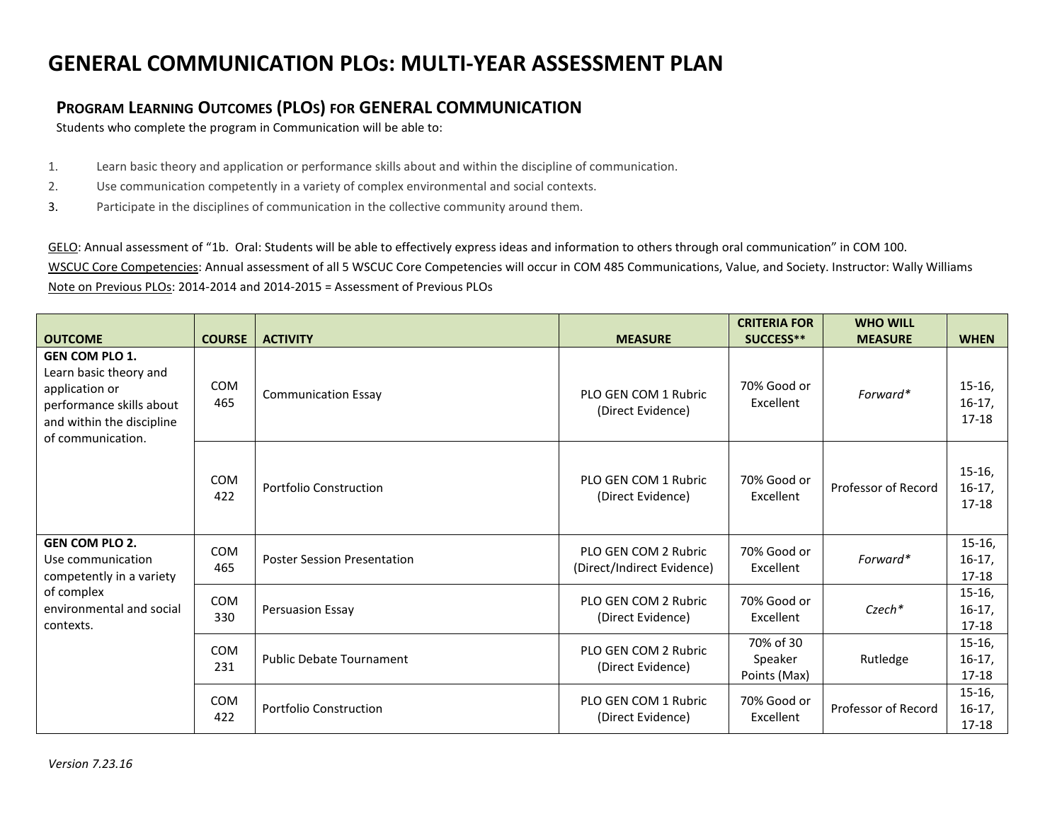## **GENERAL COMMUNICATION PLOs: MULTI-YEAR ASSESSMENT PLAN**

## **PROGRAM LEARNING OUTCOMES (PLOS) FOR GENERAL COMMUNICATION**

Students who complete the program in Communication will be able to:

- 1. Learn basic theory and application or performance skills about and within the discipline of communication.
- 2. Use communication competently in a variety of complex environmental and social contexts.
- 3. Participate in the disciplines of communication in the collective community around them.

GELO: Annual assessment of "1b. Oral: Students will be able to effectively express ideas and information to others through oral communication" in COM 100. WSCUC Core Competencies: Annual assessment of all 5 WSCUC Core Competencies will occur in COM 485 Communications, Value, and Society. Instructor: Wally Williams Note on Previous PLOs: 2014-2014 and 2014-2015 = Assessment of Previous PLOs

|                                                                                                                                                 |                   |                                    |                                                    | <b>CRITERIA FOR</b>                  | <b>WHO WILL</b>     |                                   |
|-------------------------------------------------------------------------------------------------------------------------------------------------|-------------------|------------------------------------|----------------------------------------------------|--------------------------------------|---------------------|-----------------------------------|
| <b>OUTCOME</b>                                                                                                                                  | <b>COURSE</b>     | <b>ACTIVITY</b>                    | <b>MEASURE</b>                                     | SUCCESS**                            | <b>MEASURE</b>      | <b>WHEN</b>                       |
| <b>GEN COM PLO 1.</b><br>Learn basic theory and<br>application or<br>performance skills about<br>and within the discipline<br>of communication. | <b>COM</b><br>465 | <b>Communication Essay</b>         | PLO GEN COM 1 Rubric<br>(Direct Evidence)          | 70% Good or<br>Excellent             | Forward*            | $15-16,$<br>$16-17,$<br>17-18     |
|                                                                                                                                                 | COM<br>422        | <b>Portfolio Construction</b>      | PLO GEN COM 1 Rubric<br>(Direct Evidence)          | 70% Good or<br>Excellent             | Professor of Record | $15-16$ ,<br>$16-17,$<br>17-18    |
| <b>GEN COM PLO 2.</b><br>Use communication<br>competently in a variety<br>of complex<br>environmental and social<br>contexts.                   | COM<br>465        | <b>Poster Session Presentation</b> | PLO GEN COM 2 Rubric<br>(Direct/Indirect Evidence) | 70% Good or<br>Excellent             | Forward*            | $15-16,$<br>$16-17,$<br>17-18     |
|                                                                                                                                                 | <b>COM</b><br>330 | Persuasion Essay                   | PLO GEN COM 2 Rubric<br>(Direct Evidence)          | 70% Good or<br>Excellent             | Czech*              | $15-16,$<br>$16-17,$<br>$17 - 18$ |
|                                                                                                                                                 | COM<br>231        | <b>Public Debate Tournament</b>    | PLO GEN COM 2 Rubric<br>(Direct Evidence)          | 70% of 30<br>Speaker<br>Points (Max) | Rutledge            | $15-16,$<br>$16-17,$<br>17-18     |
|                                                                                                                                                 | COM<br>422        | <b>Portfolio Construction</b>      | PLO GEN COM 1 Rubric<br>(Direct Evidence)          | 70% Good or<br>Excellent             | Professor of Record | $15-16,$<br>$16-17,$<br>17-18     |